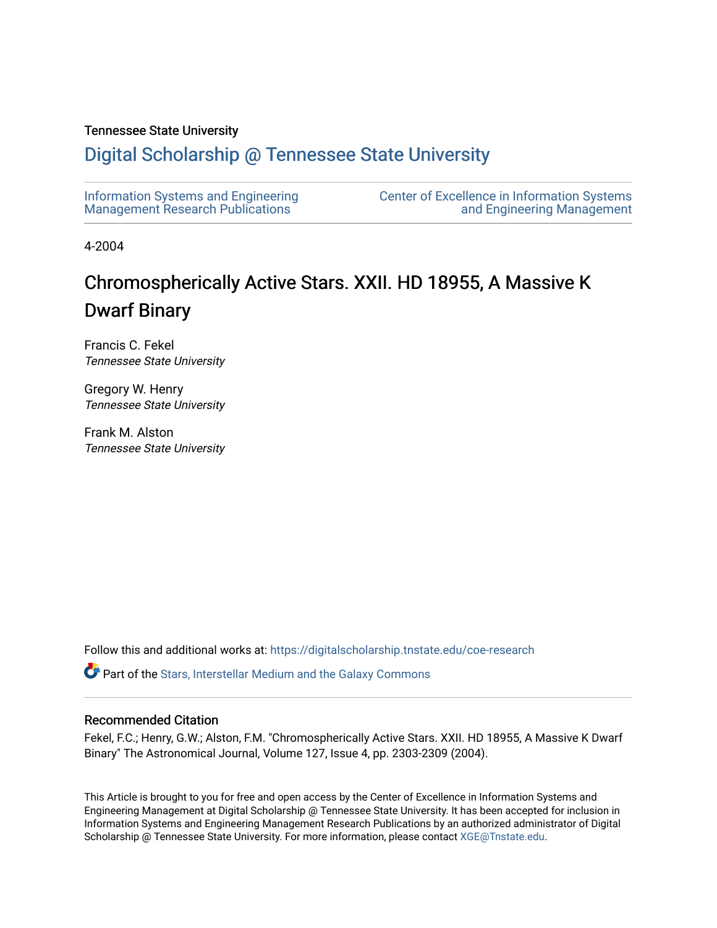# Tennessee State University

# [Digital Scholarship @ Tennessee State University](https://digitalscholarship.tnstate.edu/)

| Information Systems and Engineering | <b>Center of Excellence in Information Systems</b> |
|-------------------------------------|----------------------------------------------------|
| Management Research Publications    | and Engineering Management                         |

4-2004

# Chromospherically Active Stars. XXII. HD 18955, A Massive K Dwarf Binary

Francis C. Fekel Tennessee State University

Gregory W. Henry Tennessee State University

Frank M. Alston Tennessee State University

Follow this and additional works at: [https://digitalscholarship.tnstate.edu/coe-research](https://digitalscholarship.tnstate.edu/coe-research?utm_source=digitalscholarship.tnstate.edu%2Fcoe-research%2F339&utm_medium=PDF&utm_campaign=PDFCoverPages) 

**P** Part of the Stars, Interstellar Medium and the Galaxy Commons

# Recommended Citation

Fekel, F.C.; Henry, G.W.; Alston, F.M. "Chromospherically Active Stars. XXII. HD 18955, A Massive K Dwarf Binary" The Astronomical Journal, Volume 127, Issue 4, pp. 2303-2309 (2004).

This Article is brought to you for free and open access by the Center of Excellence in Information Systems and Engineering Management at Digital Scholarship @ Tennessee State University. It has been accepted for inclusion in Information Systems and Engineering Management Research Publications by an authorized administrator of Digital Scholarship @ Tennessee State University. For more information, please contact [XGE@Tnstate.edu](mailto:XGE@Tnstate.edu).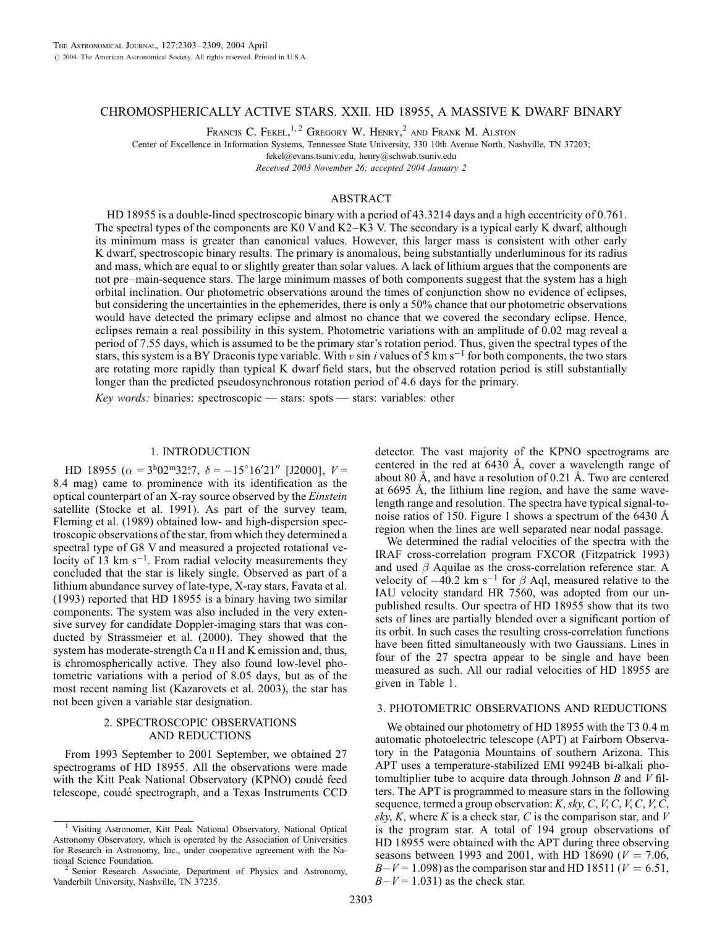# CHROMOSPHERICALLY ACTIVE STARS. XXII. HD 18955, A MASSIVE K DWARF BINARY

FRANCIS C. FEKEL,<sup>1,2</sup> GREGORY W. HENRY,<sup>2</sup> AND FRANK M. ALSTON

Center of Excellence in Information Systems, Tennessee State University, 330 10th Avenue North, Nashville, TN 37203;

fekel@evans.tsuniv.edu, henry@schwab.tsuniv.edu

Received 2003 November 26; accepted 2004 January 2

# ABSTRACT

HD 18955 is a double-lined spectroscopic binary with a period of 43.3214 days and a high eccentricity of 0.761. The spectral types of the components are K0 V and K2–K3 V. The secondary is a typical early K dwarf, although its minimum mass is greater than canonical values. However, this larger mass is consistent with other early K dwarf, spectroscopic binary results. The primary is anomalous, being substantially underluminous for its radius and mass, which are equal to or slightly greater than solar values. A lack of lithium argues that the components are not pre–main-sequence stars. The large minimum masses of both components suggest that the system has a high orbital inclination. Our photometric observations around the times of conjunction show no evidence of eclipses, but considering the uncertainties in the ephemerides, there is only a 50% chance that our photometric observations would have detected the primary eclipse and almost no chance that we covered the secondary eclipse. Hence, eclipses remain a real possibility in this system. Photometric variations with an amplitude of 0.02 mag reveal a period of 7.55 days, which is assumed to be the primary star's rotation period. Thus, given the spectral types of the stars, this system is a BY Draconis type variable. With v sin i values of 5 km s<sup>-1</sup> for both components, the two stars are rotating more rapidly than typical K dwarf field stars, but the observed rotation period is still substantially longer than the predicted pseudosynchronous rotation period of 4.6 days for the primary.

Key words: binaries: spectroscopic — stars: spots — stars: variables: other

#### 1. INTRODUCTION

HD 18955 ( $\alpha = 3^{\text{h}}02^{\text{m}}32$ .  $\delta = -15^{\circ}16'21''$  [J2000],  $V =$ 8.4 mag) came to prominence with its identification as the optical counterpart of an X-ray source observed by the Einstein satellite (Stocke et al. 1991). As part of the survey team, Fleming et al. (1989) obtained low- and high-dispersion spectroscopic observations of the star, from which they determined a spectral type of G8 V and measured a projected rotational velocity of 13 km  $s^{-1}$ . From radial velocity measurements they concluded that the star is likely single. Observed as part of a lithium abundance survey of late-type, X-ray stars, Favata et al. (1993) reported that HD 18955 is a binary having two similar components. The system was also included in the very extensive survey for candidate Doppler-imaging stars that was conducted by Strassmeier et al. (2000). They showed that the system has moderate-strength Ca II H and K emission and, thus, is chromospherically active. They also found low-level photometric variations with a period of 8.05 days, but as of the most recent naming list (Kazarovets et al. 2003), the star has not been given a variable star designation.

#### 2. SPECTROSCOPIC OBSERVATIONS AND REDUCTIONS

From 1993 September to 2001 September, we obtained 27 spectrograms of HD 18955. All the observations were made with the Kitt Peak National Observatory (KPNO) coude´ feed telescope, coudé spectrograph, and a Texas Instruments CCD

detector. The vast majority of the KPNO spectrograms are centered in the red at  $6430 \text{ Å}$ , cover a wavelength range of about 80 Å, and have a resolution of 0.21 Å. Two are centered at  $6695$  Å, the lithium line region, and have the same wavelength range and resolution. The spectra have typical signal-tonoise ratios of 150. Figure 1 shows a spectrum of the 6430  $\AA$ region when the lines are well separated near nodal passage.

We determined the radial velocities of the spectra with the IRAF cross-correlation program FXCOR (Fitzpatrick 1993) and used  $\beta$  Aquilae as the cross-correlation reference star. A velocity of  $-40.2$  km s<sup>-1</sup> for  $\beta$  Aql, measured relative to the IAU velocity standard HR 7560, was adopted from our unpublished results. Our spectra of HD 18955 show that its two sets of lines are partially blended over a significant portion of its orbit. In such cases the resulting cross-correlation functions have been fitted simultaneously with two Gaussians. Lines in four of the 27 spectra appear to be single and have been measured as such. All our radial velocities of HD 18955 are given in Table 1.

#### 3. PHOTOMETRIC OBSERVATIONS AND REDUCTIONS

We obtained our photometry of HD 18955 with the T3 0.4 m automatic photoelectric telescope (APT) at Fairborn Observatory in the Patagonia Mountains of southern Arizona. This APT uses a temperature-stabilized EMI 9924B bi-alkali photomultiplier tube to acquire data through Johnson  $B$  and  $V$  filters. The APT is programmed to measure stars in the following sequence, termed a group observation:  $K$ ,  $sky$ ,  $C$ ,  $V$ ,  $C$ ,  $V$ ,  $C$ ,  $V$ ,  $C$ , sky, K, where K is a check star, C is the comparison star, and  $V$ is the program star. A total of 194 group observations of HD 18955 were obtained with the APT during three observing seasons between 1993 and 2001, with HD 18690 ( $V = 7.06$ ,  $B-V = 1.098$ ) as the comparison star and HD 18511 ( $V = 6.51$ ,  $B-V = 1.031$ ) as the check star.

<sup>&</sup>lt;sup>1</sup> Visiting Astronomer, Kitt Peak National Observatory, National Optical Astronomy Observatory, which is operated by the Association of Universities for Research in Astronomy, Inc., under cooperative agreement with the National Science Foundation.

<sup>&</sup>lt;sup>2</sup> Senior Research Associate, Department of Physics and Astronomy, Vanderbilt University, Nashville, TN 37235.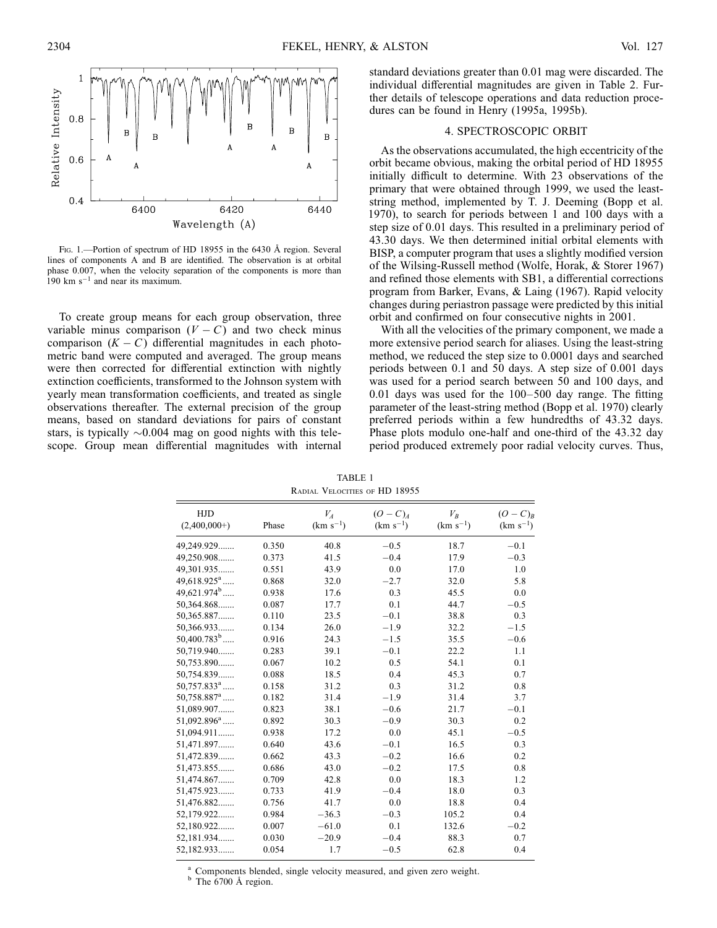

Fig. 1.—Portion of spectrum of HD 18955 in the 6430 Å region. Several lines of components A and B are identified. The observation is at orbital phase 0.007, when the velocity separation of the components is more than  $190$  km s<sup>-1</sup> and near its maximum.

To create group means for each group observation, three variable minus comparison  $(V - C)$  and two check minus comparison  $(K - C)$  differential magnitudes in each photometric band were computed and averaged. The group means were then corrected for differential extinction with nightly extinction coefficients, transformed to the Johnson system with yearly mean transformation coefficients, and treated as single observations thereafter. The external precision of the group means, based on standard deviations for pairs of constant stars, is typically  $\sim 0.004$  mag on good nights with this telescope. Group mean differential magnitudes with internal

standard deviations greater than 0.01 mag were discarded. The individual differential magnitudes are given in Table 2. Further details of telescope operations and data reduction procedures can be found in Henry (1995a, 1995b).

# 4. SPECTROSCOPIC ORBIT

As the observations accumulated, the high eccentricity of the orbit became obvious, making the orbital period of HD 18955 initially difficult to determine. With 23 observations of the primary that were obtained through 1999, we used the leaststring method, implemented by T. J. Deeming (Bopp et al. 1970), to search for periods between 1 and 100 days with a step size of 0.01 days. This resulted in a preliminary period of 43.30 days. We then determined initial orbital elements with BISP, a computer program that uses a slightly modified version of the Wilsing-Russell method (Wolfe, Horak, & Storer 1967) and refined those elements with SB1, a differential corrections program from Barker, Evans, & Laing (1967). Rapid velocity changes during periastron passage were predicted by this initial orbit and confirmed on four consecutive nights in 2001.

With all the velocities of the primary component, we made a more extensive period search for aliases. Using the least-string method, we reduced the step size to 0.0001 days and searched periods between 0.1 and 50 days. A step size of 0.001 days was used for a period search between 50 and 100 days, and 0.01 days was used for the 100–500 day range. The fitting parameter of the least-string method (Bopp et al. 1970) clearly preferred periods within a few hundredths of 43.32 days. Phase plots modulo one-half and one-third of the 43.32 day period produced extremely poor radial velocity curves. Thus,

| <b>HJD</b><br>$(2,400,000+)$ | Phase | $V_A$<br>$(km s^{-1})$ | $(O-C)_{A}$<br>$(km s^{-1})$ | $V_B$<br>$(km s^{-1})$ | $(O-C)R$<br>$(km s^{-1})$ |
|------------------------------|-------|------------------------|------------------------------|------------------------|---------------------------|
| 49,249.929                   | 0.350 | 40.8                   | $-0.5$                       | 18.7                   | $-0.1$                    |
| 49,250.908                   | 0.373 | 41.5                   | $-0.4$                       | 17.9                   | $-0.3$                    |
| 49,301.935                   | 0.551 | 43.9                   | 0.0                          | 17.0                   | 1.0                       |
| $49,618.925^a$               | 0.868 | 32.0                   | $-2.7$                       | 32.0                   | 5.8                       |
| 49,621.974 <sup>b</sup>      | 0.938 | 17.6                   | 0.3                          | 45.5                   | 0.0                       |
| 50,364.868                   | 0.087 | 17.7                   | 0.1                          | 44.7                   | $-0.5$                    |
| 50,365.887                   | 0.110 | 23.5                   | $-0.1$                       | 38.8                   | 0.3                       |
| 50,366.933                   | 0.134 | 26.0                   | $-1.9$                       | 32.2                   | $-1.5$                    |
| $50,400.783^b$               | 0.916 | 24.3                   | $-1.5$                       | 35.5                   | $-0.6$                    |
| 50,719.940                   | 0.283 | 39.1                   | $-0.1$                       | 22.2                   | 1.1                       |
| 50,753.890                   | 0.067 | 10.2                   | 0.5                          | 54.1                   | 0.1                       |
| 50,754.839                   | 0.088 | 18.5                   | 0.4                          | 45.3                   | 0.7                       |
| $50,757.833^a$               | 0.158 | 31.2                   | 0.3                          | 31.2                   | 0.8                       |
| $50,758.887$ <sup>a</sup>    | 0.182 | 31.4                   | $-1.9$                       | 31.4                   | 3.7                       |
| 51,089.907                   | 0.823 | 38.1                   | $-0.6$                       | 21.7                   | $-0.1$                    |
| $51,092.896^a$               | 0.892 | 30.3                   | $-0.9$                       | 30.3                   | 0.2                       |
| 51,094.911                   | 0.938 | 17.2                   | 0.0                          | 45.1                   | $-0.5$                    |
| 51,471.897                   | 0.640 | 43.6                   | $-0.1$                       | 16.5                   | 0.3                       |
| 51,472.839                   | 0.662 | 43.3                   | $-0.2$                       | 16.6                   | 0.2                       |
| 51,473.855                   | 0.686 | 43.0                   | $-0.2$                       | 17.5                   | 0.8                       |
| 51,474.867                   | 0.709 | 42.8                   | 0.0                          | 18.3                   | 1.2                       |
| 51,475.923                   | 0.733 | 41.9                   | $-0.4$                       | 18.0                   | 0.3                       |
| 51,476.882                   | 0.756 | 41.7                   | 0.0                          | 18.8                   | 0.4                       |
| 52,179.922                   | 0.984 | $-36.3$                | $-0.3$                       | 105.2                  | 0.4                       |
| 52,180.922                   | 0.007 | $-61.0$                | 0.1                          | 132.6                  | $-0.2$                    |
| 52,181.934                   | 0.030 | $-20.9$                | $-0.4$                       | 88.3                   | 0.7                       |
| 52,182.933                   | 0.054 | 1.7                    | $-0.5$                       | 62.8                   | 0.4                       |
|                              |       |                        |                              |                        |                           |

TABLE 1 Radial Velocities of HD 18955

 $a<sup>a</sup>$  Components blended, single velocity measured, and given zero weight.  $b<sup>b</sup>$  The 6700 Å region.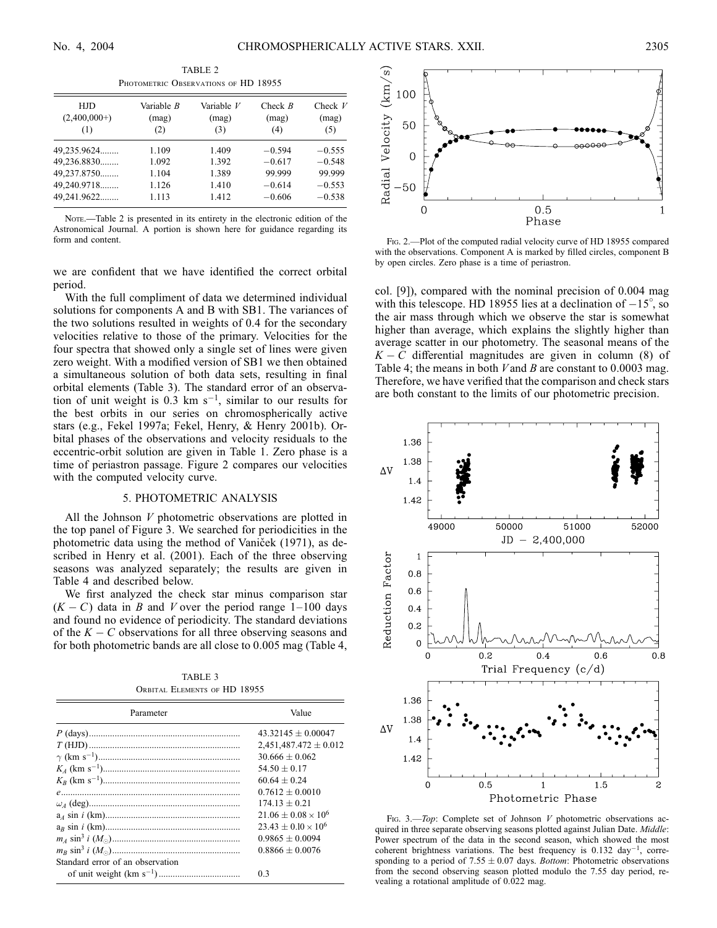| HJD<br>$(2,400,000+)$<br>(1) | Variable B<br>(mag)<br>(2) | Variable V<br>(mag)<br>(3) | Check $B$<br>(mag)<br>(4) | Check $V$<br>(mag)<br>(5) |  |
|------------------------------|----------------------------|----------------------------|---------------------------|---------------------------|--|
| 49,235.9624                  | 1.109                      | 1.409                      | $-0.594$                  | $-0.555$                  |  |
| 49,236.8830                  | 1.092                      | 1.392                      | $-0.617$                  | $-0.548$                  |  |
| 49,237.8750                  | 1.104                      | 1.389                      | 99.999                    | 99.999                    |  |
| 49,240.9718                  | 1.126                      | 1.410                      | $-0.614$                  | $-0.553$                  |  |
| 49,241.9622                  | 1.113                      | 1.412                      | $-0.606$                  | $-0.538$                  |  |

TABLE 2 PHOTOMETRIC OBSERVATIONS OF HD 18955

NOTE.—Table 2 is presented in its entirety in the electronic edition of the Astronomical Journal. A portion is shown here for guidance regarding its form and content.

we are confident that we have identified the correct orbital period.

With the full compliment of data we determined individual solutions for components A and B with SB1. The variances of the two solutions resulted in weights of 0.4 for the secondary velocities relative to those of the primary. Velocities for the four spectra that showed only a single set of lines were given zero weight. With a modified version of SB1 we then obtained a simultaneous solution of both data sets, resulting in final orbital elements (Table 3). The standard error of an observation of unit weight is  $0.3 \text{ km s}^{-1}$ , similar to our results for the best orbits in our series on chromospherically active stars (e.g., Fekel 1997a; Fekel, Henry, & Henry 2001b). Orbital phases of the observations and velocity residuals to the eccentric-orbit solution are given in Table 1. Zero phase is a time of periastron passage. Figure 2 compares our velocities with the computed velocity curve.

#### 5. PHOTOMETRIC ANALYSIS

All the Johnson V photometric observations are plotted in the top panel of Figure 3. We searched for periodicities in the photometric data using the method of Vaniček (1971), as described in Henry et al. (2001). Each of the three observing seasons was analyzed separately; the results are given in Table 4 and described below.

We first analyzed the check star minus comparison star  $(K - C)$  data in B and V over the period range 1–100 days and found no evidence of periodicity. The standard deviations of the  $K - C$  observations for all three observing seasons and for both photometric bands are all close to 0.005 mag (Table 4,

TABLE 3 Orbital Elements of HD 18955

| Parameter                        | Value                      |  |
|----------------------------------|----------------------------|--|
|                                  | $43.32145 + 0.00047$       |  |
|                                  | $2,451,487.472 \pm 0.012$  |  |
|                                  | $30.666 + 0.062$           |  |
|                                  | $54.50 + 0.17$             |  |
|                                  | $6064 + 024$               |  |
|                                  | $0.7612 + 0.0010$          |  |
|                                  | $174.13 + 0.21$            |  |
|                                  | $21.06 + 0.08 \times 10^6$ |  |
|                                  | $23.43 + 0.10 \times 10^6$ |  |
|                                  | $0.9865 + 0.0094$          |  |
|                                  | $0.8866 + 0.0076$          |  |
| Standard error of an observation |                            |  |
|                                  | 0 <sup>3</sup>             |  |



Fig. 2.—Plot of the computed radial velocity curve of HD 18955 compared with the observations. Component A is marked by filled circles, component B by open circles. Zero phase is a time of periastron.

col. [9]), compared with the nominal precision of 0.004 mag with this telescope. HD 18955 lies at a declination of  $-15^{\circ}$ , so the air mass through which we observe the star is somewhat higher than average, which explains the slightly higher than average scatter in our photometry. The seasonal means of the  $K - C$  differential magnitudes are given in column (8) of Table 4; the means in both  $V$  and  $B$  are constant to 0.0003 mag. Therefore, we have verified that the comparison and check stars are both constant to the limits of our photometric precision.



Fig. 3.—Top: Complete set of Johnson  $V$  photometric observations acquired in three separate observing seasons plotted against Julian Date. Middle: Power spectrum of the data in the second season, which showed the most coherent brightness variations. The best frequency is  $0.132 \text{ day}^{-1}$ , corresponding to a period of 7.55  $\pm$  0.07 days. *Bottom*: Photometric observations from the second observing season plotted modulo the 7.55 day period, revealing a rotational amplitude of 0.022 mag.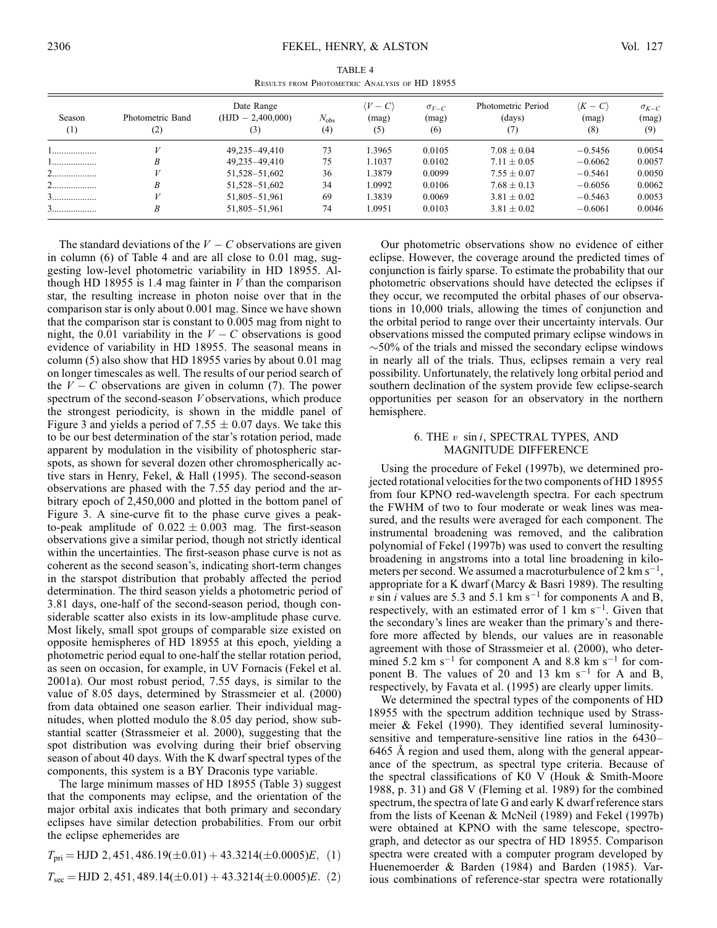TABLE 4 Results from Photometric Analysis of HD 18955

| Season<br>$^{(1)}$ | Photometric Band<br>(2) | Date Range<br>$(HJD - 2,400,000)$<br>(3) | $N_{\rm obs}$<br>(4) | $V-C$<br>(mag)<br>(5) | $\sigma_{V-C}$<br>(mag)<br>(6) | Photometric Period<br>(days)<br>(7) | $\langle K-C\rangle$<br>(mag)<br>(8) | $\sigma_{K-C}$<br>(mag)<br>(9) |
|--------------------|-------------------------|------------------------------------------|----------------------|-----------------------|--------------------------------|-------------------------------------|--------------------------------------|--------------------------------|
| .                  |                         | 49,235-49,410                            | 73                   | 1.3965                | 0.0105                         | $7.08 \pm 0.04$                     | $-0.5456$                            | 0.0054                         |
| 1                  |                         | 49.235-49.410                            | 75                   | 1.1037                | 0.0102                         | $7.11 \pm 0.05$                     | $-0.6062$                            | 0.0057                         |
|                    |                         | 51,528-51,602                            | 36                   | 1.3879                | 0.0099                         | $7.55 \pm 0.07$                     | $-0.5461$                            | 0.0050                         |
|                    |                         | 51,528-51,602                            | 34                   | 1.0992                | 0.0106                         | $7.68 \pm 0.13$                     | $-0.6056$                            | 0.0062                         |
| <u>J</u>           |                         | 51,805-51,961                            | 69                   | 1.3839                | 0.0069                         | $3.81 \pm 0.02$                     | $-0.5463$                            | 0.0053                         |
| .                  |                         | 51,805-51,961                            | 74                   | 1.0951                | 0.0103                         | $3.81 \pm 0.02$                     | $-0.6061$                            | 0.0046                         |

The standard deviations of the  $V - C$  observations are given in column (6) of Table 4 and are all close to 0.01 mag, suggesting low-level photometric variability in HD 18955. Although HD 18955 is 1.4 mag fainter in  $V$  than the comparison star, the resulting increase in photon noise over that in the comparison star is only about 0.001 mag. Since we have shown that the comparison star is constant to 0.005 mag from night to night, the 0.01 variability in the  $V - C$  observations is good evidence of variability in HD 18955. The seasonal means in column (5) also show that HD 18955 varies by about 0.01 mag on longer timescales as well. The results of our period search of the  $V - C$  observations are given in column (7). The power spectrum of the second-season V observations, which produce the strongest periodicity, is shown in the middle panel of Figure 3 and yields a period of 7.55  $\pm$  0.07 days. We take this to be our best determination of the star's rotation period, made apparent by modulation in the visibility of photospheric starspots, as shown for several dozen other chromospherically active stars in Henry, Fekel, & Hall (1995). The second-season observations are phased with the 7.55 day period and the arbitrary epoch of 2,450,000 and plotted in the bottom panel of Figure 3. A sine-curve fit to the phase curve gives a peakto-peak amplitude of  $0.022 \pm 0.003$  mag. The first-season observations give a similar period, though not strictly identical within the uncertainties. The first-season phase curve is not as coherent as the second season's, indicating short-term changes in the starspot distribution that probably affected the period determination. The third season yields a photometric period of 3.81 days, one-half of the second-season period, though considerable scatter also exists in its low-amplitude phase curve. Most likely, small spot groups of comparable size existed on opposite hemispheres of HD 18955 at this epoch, yielding a photometric period equal to one-half the stellar rotation period, as seen on occasion, for example, in UV Fornacis (Fekel et al. 2001a). Our most robust period, 7.55 days, is similar to the value of 8.05 days, determined by Strassmeier et al. (2000) from data obtained one season earlier. Their individual magnitudes, when plotted modulo the 8.05 day period, show substantial scatter (Strassmeier et al. 2000), suggesting that the spot distribution was evolving during their brief observing season of about 40 days. With the K dwarf spectral types of the components, this system is a BY Draconis type variable.

The large minimum masses of HD 18955 (Table 3) suggest that the components may eclipse, and the orientation of the major orbital axis indicates that both primary and secondary eclipses have similar detection probabilities. From our orbit the eclipse ephemerides are

 $T_{\text{pri}} = \text{HJD} \, 2,451,486.19(\pm 0.01) + 43.3214(\pm 0.0005)E,$  (1)

$$
T_{\text{sec}} = \text{HJD } 2,451,489.14(\pm 0.01) + 43.3214(\pm 0.0005)E. \tag{2}
$$

Our photometric observations show no evidence of either eclipse. However, the coverage around the predicted times of conjunction is fairly sparse. To estimate the probability that our photometric observations should have detected the eclipses if they occur, we recomputed the orbital phases of our observations in 10,000 trials, allowing the times of conjunction and the orbital period to range over their uncertainty intervals. Our observations missed the computed primary eclipse windows in  $\sim$  50% of the trials and missed the secondary eclipse windows in nearly all of the trials. Thus, eclipses remain a very real possibility. Unfortunately, the relatively long orbital period and southern declination of the system provide few eclipse-search opportunities per season for an observatory in the northern hemisphere.

## 6. THE v sin i, SPECTRAL TYPES, AND MAGNITUDE DIFFERENCE

Using the procedure of Fekel (1997b), we determined projected rotational velocities for the two components of HD 18955 from four KPNO red-wavelength spectra. For each spectrum the FWHM of two to four moderate or weak lines was measured, and the results were averaged for each component. The instrumental broadening was removed, and the calibration polynomial of Fekel (1997b) was used to convert the resulting broadening in angstroms into a total line broadening in kilometers per second. We assumed a macroturbulence of 2 km s<sup>-1</sup>, appropriate for a K dwarf (Marcy & Basri 1989). The resulting v sin i values are 5.3 and 5.1 km s<sup>-1</sup> for components A and B, respectively, with an estimated error of 1 km  $s^{-1}$ . Given that the secondary's lines are weaker than the primary's and therefore more affected by blends, our values are in reasonable agreement with those of Strassmeier et al. (2000), who determined 5.2 km s<sup>-1</sup> for component A and 8.8 km s<sup>-1</sup> for component B. The values of  $20$  and 13 km s<sup>-1</sup> for A and B, respectively, by Favata et al. (1995) are clearly upper limits.

We determined the spectral types of the components of HD 18955 with the spectrum addition technique used by Strassmeier & Fekel (1990). They identified several luminositysensitive and temperature-sensitive line ratios in the 6430– 6465 Å region and used them, along with the general appearance of the spectrum, as spectral type criteria. Because of the spectral classifications of K0 V (Houk & Smith-Moore 1988, p. 31) and G8 V (Fleming et al. 1989) for the combined spectrum, the spectra of late G and early K dwarf reference stars from the lists of Keenan & McNeil (1989) and Fekel (1997b) were obtained at KPNO with the same telescope, spectrograph, and detector as our spectra of HD 18955. Comparison spectra were created with a computer program developed by Huenemoerder & Barden (1984) and Barden (1985). Various combinations of reference-star spectra were rotationally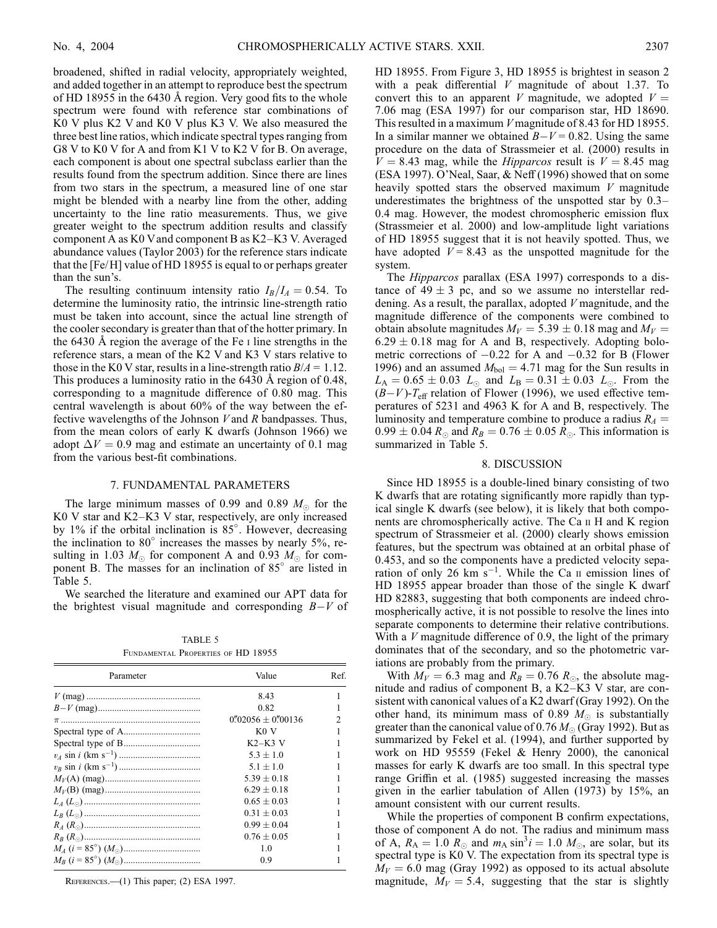broadened, shifted in radial velocity, appropriately weighted, and added together in an attempt to reproduce best the spectrum of HD 18955 in the 6430 A region. Very good fits to the whole spectrum were found with reference star combinations of K0 V plus K2 V and K0 V plus K3 V. We also measured the three best line ratios, which indicate spectral types ranging from G8 V to K0 V for A and from K1 V to K2 V for B. On average, each component is about one spectral subclass earlier than the results found from the spectrum addition. Since there are lines from two stars in the spectrum, a measured line of one star might be blended with a nearby line from the other, adding uncertainty to the line ratio measurements. Thus, we give greater weight to the spectrum addition results and classify component A as K0 Vand component B as K2–K3 V. Averaged abundance values (Taylor 2003) for the reference stars indicate that the [Fe/H] value of HD 18955 is equal to or perhaps greater than the sun's.

The resulting continuum intensity ratio  $I_B/I_A = 0.54$ . To determine the luminosity ratio, the intrinsic line-strength ratio must be taken into account, since the actual line strength of the cooler secondary is greater than that of the hotter primary. In the 6430  $\AA$  region the average of the Fe  $\text{I}$  line strengths in the reference stars, a mean of the K2 V and K3 V stars relative to those in the K0 V star, results in a line-strength ratio  $B/A = 1.12$ . This produces a luminosity ratio in the  $6430 \text{ Å}$  region of 0.48, corresponding to a magnitude difference of 0.80 mag. This central wavelength is about 60% of the way between the effective wavelengths of the Johnson  $V$  and  $R$  bandpasses. Thus, from the mean colors of early K dwarfs (Johnson 1966) we adopt  $\Delta V = 0.9$  mag and estimate an uncertainty of 0.1 mag from the various best-fit combinations.

#### 7. FUNDAMENTAL PARAMETERS

The large minimum masses of 0.99 and 0.89  $M_{\odot}$  for the K0 V star and K2–K3 V star, respectively, are only increased by 1% if the orbital inclination is 85°. However, decreasing the inclination to  $80^\circ$  increases the masses by nearly 5%, resulting in 1.03  $M_{\odot}$  for component A and 0.93  $M_{\odot}$  for component B. The masses for an inclination of  $85^\circ$  are listed in Table 5.

We searched the literature and examined our APT data for the brightest visual magnitude and corresponding  $B-V$  of

TABLE 5 Fundamental Properties of HD 18955

| Parameter | Value                                 | Ref. |  |
|-----------|---------------------------------------|------|--|
|           | 8.43                                  |      |  |
|           | 0.82                                  |      |  |
|           | $0\rlap.{''}02056 + 0\rlap.{''}00136$ | 2    |  |
|           | KOV                                   |      |  |
|           | $K2-K3$ V                             |      |  |
|           | $5.3 + 1.0$                           |      |  |
|           | $5.1 + 1.0$                           |      |  |
|           | $5.39 + 0.18$                         |      |  |
|           | $6.29 + 0.18$                         |      |  |
|           | $0.65 \pm 0.03$                       |      |  |
|           | $0.31 + 0.03$                         |      |  |
|           | $0.99 + 0.04$                         |      |  |
|           | $0.76 + 0.05$                         |      |  |
|           | 1.0                                   |      |  |
|           | 0.9                                   |      |  |

REFERENCES.-(1) This paper; (2) ESA 1997.

HD 18955. From Figure 3, HD 18955 is brightest in season 2 with a peak differential  $V$  magnitude of about 1.37. To convert this to an apparent V magnitude, we adopted  $V =$ 7:06 mag (ESA 1997) for our comparison star, HD 18690. This resulted in a maximum V magnitude of 8.43 for HD 18955. In a similar manner we obtained  $B-V = 0.82$ . Using the same procedure on the data of Strassmeier et al. (2000) results in  $V = 8.43$  mag, while the *Hipparcos* result is  $V = 8.45$  mag (ESA 1997). O'Neal, Saar, & Neff (1996) showed that on some heavily spotted stars the observed maximum  $V$  magnitude underestimates the brightness of the unspotted star by 0.3– 0.4 mag. However, the modest chromospheric emission flux (Strassmeier et al. 2000) and low-amplitude light variations of HD 18955 suggest that it is not heavily spotted. Thus, we have adopted  $V = 8.43$  as the unspotted magnitude for the system.

The Hipparcos parallax (ESA 1997) corresponds to a distance of  $49 \pm 3$  pc, and so we assume no interstellar reddening. As a result, the parallax, adopted V magnitude, and the magnitude difference of the components were combined to obtain absolute magnitudes  $M_V = 5.39 \pm 0.18$  mag and  $M_V =$  $6.29 \pm 0.18$  mag for A and B, respectively. Adopting bolometric corrections of  $-0.22$  for A and  $-0.32$  for B (Flower 1996) and an assumed  $M_{bol} = 4.71$  mag for the Sun results in  $L_A = 0.65 \pm 0.03$   $L_{\odot}$  and  $L_B = 0.31 \pm 0.03$   $L_{\odot}$ . From the  $(B-V)$ - $T_{\text{eff}}$  relation of Flower (1996), we used effective temperatures of 5231 and 4963 K for A and B, respectively. The luminosity and temperature combine to produce a radius  $R_A$  =  $0.99 \pm 0.04$   $R_{\odot}$  and  $R_B = 0.76 \pm 0.05$   $R_{\odot}$ . This information is summarized in Table 5.

#### 8. DISCUSSION

Since HD 18955 is a double-lined binary consisting of two K dwarfs that are rotating significantly more rapidly than typical single K dwarfs (see below), it is likely that both components are chromospherically active. The Ca ii H and K region spectrum of Strassmeier et al. (2000) clearly shows emission features, but the spectrum was obtained at an orbital phase of 0.453, and so the components have a predicted velocity separation of only 26 km  $s^{-1}$ . While the Ca  $\pi$  emission lines of HD 18955 appear broader than those of the single K dwarf HD 82883, suggesting that both components are indeed chromospherically active, it is not possible to resolve the lines into separate components to determine their relative contributions. With a  $V$  magnitude difference of 0.9, the light of the primary dominates that of the secondary, and so the photometric variations are probably from the primary.

With  $M_V = 6.3$  mag and  $R_B = 0.76$   $R_{\odot}$ , the absolute magnitude and radius of component B, a K2–K3 V star, are consistent with canonical values of a K2 dwarf (Gray 1992). On the other hand, its minimum mass of 0.89  $M_{\odot}$  is substantially greater than the canonical value of 0.76  $M_{\odot}$  (Gray 1992). But as summarized by Fekel et al. (1994), and further supported by work on HD 95559 (Fekel & Henry 2000), the canonical masses for early K dwarfs are too small. In this spectral type range Griffin et al. (1985) suggested increasing the masses given in the earlier tabulation of Allen (1973) by 15%, an amount consistent with our current results.

While the properties of component B confirm expectations, those of component A do not. The radius and minimum mass of A,  $R_A = 1.0 R_{\odot}$  and  $m_A \sin^3 i = 1.0 M_{\odot}$ , are solar, but its spectral type is K0 V. The expectation from its spectral type is  $M_V = 6.0$  mag (Gray 1992) as opposed to its actual absolute magnitude,  $M_V = 5.4$ , suggesting that the star is slightly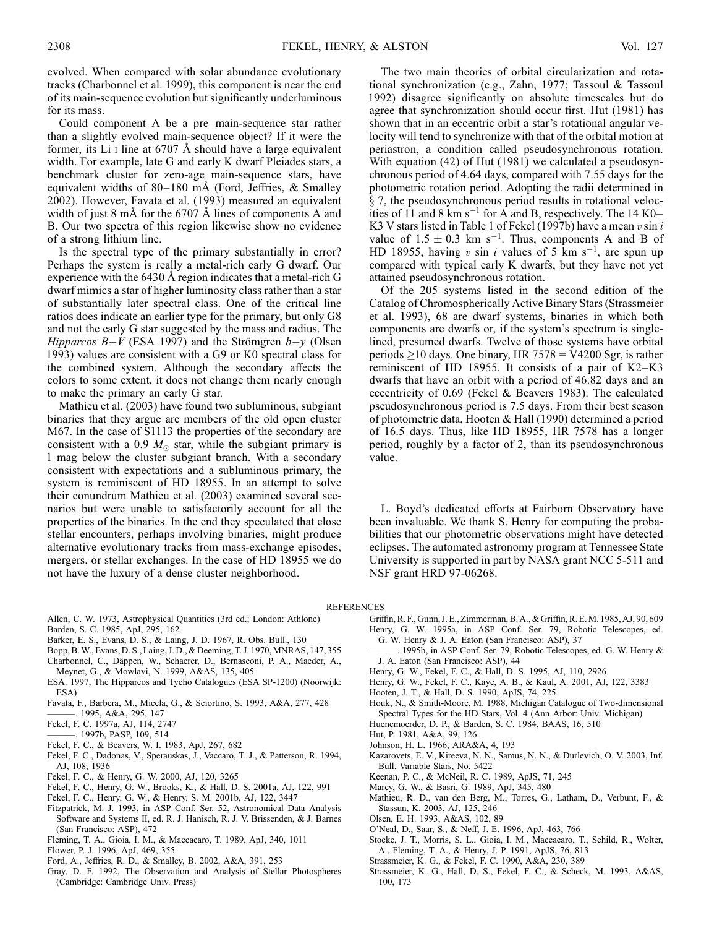evolved. When compared with solar abundance evolutionary tracks (Charbonnel et al. 1999), this component is near the end of its main-sequence evolution but significantly underluminous for its mass.

Could component A be a pre–main-sequence star rather than a slightly evolved main-sequence object? If it were the former, its Li  $\scriptstyle\rm I$  line at 6707 Å should have a large equivalent width. For example, late G and early K dwarf Pleiades stars, a benchmark cluster for zero-age main-sequence stars, have equivalent widths of  $80-180$  mÅ (Ford, Jeffries, & Smalley 2002). However, Favata et al. (1993) measured an equivalent width of just 8 mÅ for the  $6707 \text{ Å}$  lines of components A and B. Our two spectra of this region likewise show no evidence of a strong lithium line.

Is the spectral type of the primary substantially in error? Perhaps the system is really a metal-rich early G dwarf. Our experience with the  $6430 \text{ Å}$  region indicates that a metal-rich G dwarf mimics a star of higher luminosity class rather than a star of substantially later spectral class. One of the critical line ratios does indicate an earlier type for the primary, but only G8 and not the early G star suggested by the mass and radius. The *Hipparcos B-V* (ESA 1997) and the Strömgren  $b-y$  (Olsen 1993) values are consistent with a G9 or K0 spectral class for the combined system. Although the secondary affects the colors to some extent, it does not change them nearly enough to make the primary an early G star.

Mathieu et al. (2003) have found two subluminous, subgiant binaries that they argue are members of the old open cluster M67. In the case of S1113 the properties of the secondary are consistent with a 0.9  $M_{\odot}$  star, while the subgiant primary is 1 mag below the cluster subgiant branch. With a secondary consistent with expectations and a subluminous primary, the system is reminiscent of HD 18955. In an attempt to solve their conundrum Mathieu et al. (2003) examined several scenarios but were unable to satisfactorily account for all the properties of the binaries. In the end they speculated that close stellar encounters, perhaps involving binaries, might produce alternative evolutionary tracks from mass-exchange episodes, mergers, or stellar exchanges. In the case of HD 18955 we do not have the luxury of a dense cluster neighborhood.

The two main theories of orbital circularization and rotational synchronization (e.g., Zahn, 1977; Tassoul & Tassoul 1992) disagree significantly on absolute timescales but do agree that synchronization should occur first. Hut (1981) has shown that in an eccentric orbit a star's rotational angular velocity will tend to synchronize with that of the orbital motion at periastron, a condition called pseudosynchronous rotation. With equation (42) of Hut (1981) we calculated a pseudosynchronous period of 4.64 days, compared with 7.55 days for the photometric rotation period. Adopting the radii determined in  $\S$  7, the pseudosynchronous period results in rotational velocities of 11 and 8 km s<sup>-1</sup> for A and B, respectively. The 14 K0– K3 V stars listed in Table 1 of Fekel (1997b) have a mean  $v \sin i$ value of  $1.5 \pm 0.3$  km s<sup>-1</sup>. Thus, components A and B of HD 18955, having v sin i values of 5 km s<sup>-1</sup>, are spun up compared with typical early K dwarfs, but they have not yet attained pseudosynchronous rotation.

Of the 205 systems listed in the second edition of the Catalog of Chromospherically Active Binary Stars (Strassmeier et al. 1993), 68 are dwarf systems, binaries in which both components are dwarfs or, if the system's spectrum is singlelined, presumed dwarfs. Twelve of those systems have orbital periods  $\geq$ 10 days. One binary, HR 7578 = V4200 Sgr, is rather reminiscent of HD 18955. It consists of a pair of K2–K3 dwarfs that have an orbit with a period of 46.82 days and an eccentricity of 0.69 (Fekel & Beavers 1983). The calculated pseudosynchronous period is 7.5 days. From their best season of photometric data, Hooten & Hall (1990) determined a period of 16.5 days. Thus, like HD 18955, HR 7578 has a longer period, roughly by a factor of 2, than its pseudosynchronous value.

L. Boyd's dedicated efforts at Fairborn Observatory have been invaluable. We thank S. Henry for computing the probabilities that our photometric observations might have detected eclipses. The automated astronomy program at Tennessee State University is supported in part by NASA grant NCC 5-511 and NSF grant HRD 97-06268.

#### REFERENCES

- Allen, C. W. 1973, Astrophysical Quantities (3rd ed.; London: Athlone) Barden, S. C. 1985, ApJ, 295, 162
- Barker, E. S., Evans, D. S., & Laing, J. D. 1967, R. Obs. Bull., 130
- Bopp, B. W., Evans, D. S., Laing, J. D., & Deeming, T. J. 1970, MNRAS, 147, 355
- Charbonnel, C., Däppen, W., Schaerer, D., Bernasconi, P. A., Maeder, A., Meynet, G., & Mowlavi, N. 1999, A&AS, 135, 405
- ESA. 1997, The Hipparcos and Tycho Catalogues (ESA SP-1200) (Noorwijk: ESA)
- Favata, F., Barbera, M., Micela, G., & Sciortino, S. 1993, A&A, 277, 428
- ———. 1995, A&A, 295, 147
- Fekel, F. C. 1997a, AJ, 114, 2747
- ———. 1997b, PASP, 109, 514
- Fekel, F. C., & Beavers, W. I. 1983, ApJ, 267, 682
- Fekel, F. C., Dadonas, V., Sperauskas, J., Vaccaro, T. J., & Patterson, R. 1994, AJ, 108, 1936
- Fekel, F. C., & Henry, G. W. 2000, AJ, 120, 3265
- Fekel, F. C., Henry, G. W., Brooks, K., & Hall, D. S. 2001a, AJ, 122, 991
- Fekel, F. C., Henry, G. W., & Henry, S. M. 2001b, AJ, 122, 3447
- Fitzpatrick, M. J. 1993, in ASP Conf. Ser. 52, Astronomical Data Analysis Software and Systems II, ed. R. J. Hanisch, R. J. V. Brissenden, & J. Barnes (San Francisco: ASP), 472
- Fleming, T. A., Gioia, I. M., & Maccacaro, T. 1989, ApJ, 340, 1011
- Flower, P. J. 1996, ApJ, 469, 355
- Ford, A., Jeffries, R. D., & Smalley, B. 2002, A&A, 391, 253
- Gray, D. F. 1992, The Observation and Analysis of Stellar Photospheres (Cambridge: Cambridge Univ. Press)
- Griffin, R. F., Gunn, J. E., Zimmerman, B. A., & Griffin, R. E. M. 1985, AJ, 90, 609 Henry, G. W. 1995a, in ASP Conf. Ser. 79, Robotic Telescopes, ed. G. W. Henry & J. A. Eaton (San Francisco: ASP), 37
	- 1995b, in ASP Conf. Ser. 79, Robotic Telescopes, ed. G. W. Henry & J. A. Eaton (San Francisco: ASP), 44
- Henry, G. W., Fekel, F. C., & Hall, D. S. 1995, AJ, 110, 2926
- Henry, G. W., Fekel, F. C., Kaye, A. B., & Kaul, A. 2001, AJ, 122, 3383
- Hooten, J. T., & Hall, D. S. 1990, ApJS, 74, 225
- Houk, N., & Smith-Moore, M. 1988, Michigan Catalogue of Two-dimensional Spectral Types for the HD Stars, Vol. 4 (Ann Arbor: Univ. Michigan)
- Huenemoerder, D. P., & Barden, S. C. 1984, BAAS, 16, 510
- Hut, P. 1981, A&A, 99, 126
- Johnson, H. L. 1966, ARA&A, 4, 193
- Kazarovets, E. V., Kireeva, N. N., Samus, N. N., & Durlevich, O. V. 2003, Inf. Bull. Variable Stars, No. 5422
- Keenan, P. C., & McNeil, R. C. 1989, ApJS, 71, 245
- Marcy, G. W., & Basri, G. 1989, ApJ, 345, 480
- Mathieu, R. D., van den Berg, M., Torres, G., Latham, D., Verbunt, F., & Stassun, K. 2003, AJ, 125, 246
- Olsen, E. H. 1993, A&AS, 102, 89
- O'Neal, D., Saar, S., & Neff, J. E. 1996, ApJ, 463, 766
- Stocke, J. T., Morris, S. L., Gioia, I. M., Maccacaro, T., Schild, R., Wolter, A., Fleming, T. A., & Henry, J. P. 1991, ApJS, 76, 813
- Strassmeier, K. G., & Fekel, F. C. 1990, A&A, 230, 389
- Strassmeier, K. G., Hall, D. S., Fekel, F. C., & Scheck, M. 1993, A&AS, 100, 173
-